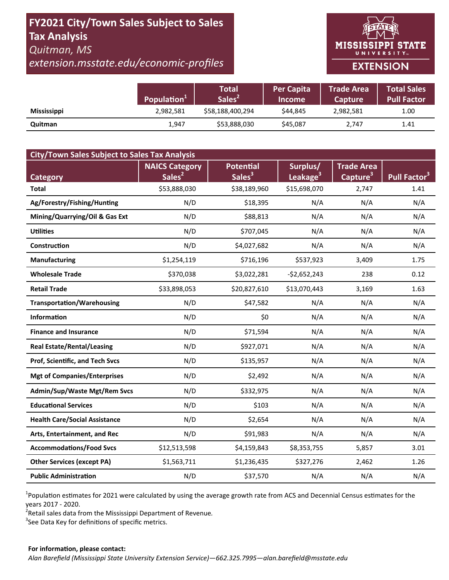# **FY2021 City/Town Sales Subject to Sales Tax Analysis**  *Quitman, MS*

*extension.msstate.edu/economic‐profiles* 



|                    | Population <sup>1</sup> | Total<br>Sales <sup>2</sup> | <b>Per Capita</b><br><b>Income</b> | <b>Trade Area</b><br><b>Capture</b> | <b>Total Sales</b><br><b>Pull Factor</b> |
|--------------------|-------------------------|-----------------------------|------------------------------------|-------------------------------------|------------------------------------------|
| <b>Mississippi</b> | 2,982,581               | \$58,188,400,294            | \$44.845                           | 2,982,581                           | 1.00                                     |
| Quitman            | 1,947                   | \$53,888,030                | \$45,087                           | 2,747                               | 1.41                                     |

| <b>City/Town Sales Subject to Sales Tax Analysis</b> |                       |                    |                      |                      |                          |  |  |  |  |
|------------------------------------------------------|-----------------------|--------------------|----------------------|----------------------|--------------------------|--|--|--|--|
|                                                      | <b>NAICS Category</b> | <b>Potential</b>   | Surplus/             | <b>Trade Area</b>    |                          |  |  |  |  |
| <b>Category</b>                                      | Sales <sup>2</sup>    | Sales <sup>3</sup> | Leakage <sup>3</sup> | Capture <sup>3</sup> | Pull Factor <sup>3</sup> |  |  |  |  |
| <b>Total</b>                                         | \$53,888,030          | \$38,189,960       | \$15,698,070         | 2,747                | 1.41                     |  |  |  |  |
| Ag/Forestry/Fishing/Hunting                          | N/D                   | \$18,395           | N/A                  | N/A                  | N/A                      |  |  |  |  |
| Mining/Quarrying/Oil & Gas Ext                       | N/D                   | \$88,813           | N/A                  | N/A                  | N/A                      |  |  |  |  |
| <b>Utilities</b>                                     | N/D                   | \$707,045          | N/A                  | N/A                  | N/A                      |  |  |  |  |
| Construction                                         | N/D                   | \$4,027,682        | N/A                  | N/A                  | N/A                      |  |  |  |  |
| Manufacturing                                        | \$1,254,119           | \$716,196          | \$537,923            | 3,409                | 1.75                     |  |  |  |  |
| <b>Wholesale Trade</b>                               | \$370,038             | \$3,022,281        | $-$2,652,243$        | 238                  | 0.12                     |  |  |  |  |
| <b>Retail Trade</b>                                  | \$33,898,053          | \$20,827,610       | \$13,070,443         | 3,169                | 1.63                     |  |  |  |  |
| <b>Transportation/Warehousing</b>                    | N/D                   | \$47,582           | N/A                  | N/A                  | N/A                      |  |  |  |  |
| <b>Information</b>                                   | N/D                   | \$0                | N/A                  | N/A                  | N/A                      |  |  |  |  |
| <b>Finance and Insurance</b>                         | N/D                   | \$71,594           | N/A                  | N/A                  | N/A                      |  |  |  |  |
| <b>Real Estate/Rental/Leasing</b>                    | N/D                   | \$927,071          | N/A                  | N/A                  | N/A                      |  |  |  |  |
| Prof, Scientific, and Tech Svcs                      | N/D                   | \$135,957          | N/A                  | N/A                  | N/A                      |  |  |  |  |
| <b>Mgt of Companies/Enterprises</b>                  | N/D                   | \$2,492            | N/A                  | N/A                  | N/A                      |  |  |  |  |
| Admin/Sup/Waste Mgt/Rem Svcs                         | N/D                   | \$332,975          | N/A                  | N/A                  | N/A                      |  |  |  |  |
| <b>Educational Services</b>                          | N/D                   | \$103              | N/A                  | N/A                  | N/A                      |  |  |  |  |
| <b>Health Care/Social Assistance</b>                 | N/D                   | \$2,654            | N/A                  | N/A                  | N/A                      |  |  |  |  |
| Arts, Entertainment, and Rec                         | N/D                   | \$91,983           | N/A                  | N/A                  | N/A                      |  |  |  |  |
| <b>Accommodations/Food Svcs</b>                      | \$12,513,598          | \$4,159,843        | \$8,353,755          | 5,857                | 3.01                     |  |  |  |  |
| <b>Other Services (except PA)</b>                    | \$1,563,711           | \$1,236,435        | \$327,276            | 2,462                | 1.26                     |  |  |  |  |
| <b>Public Administration</b>                         | N/D                   | \$37,570           | N/A                  | N/A                  | N/A                      |  |  |  |  |

<sup>1</sup>Population estimates for 2021 were calculated by using the average growth rate from ACS and Decennial Census estimates for the years 2017 ‐ 2020.

2 Retail sales data from the Mississippi Department of Revenue*.* 

 $3$ See Data Key for definitions of specific metrics.

#### **For informaƟon, please contact:**  *Alan Barefield (Mississippi State University Extension Service)—662.325.7995—alan.barefield@msstate.edu*